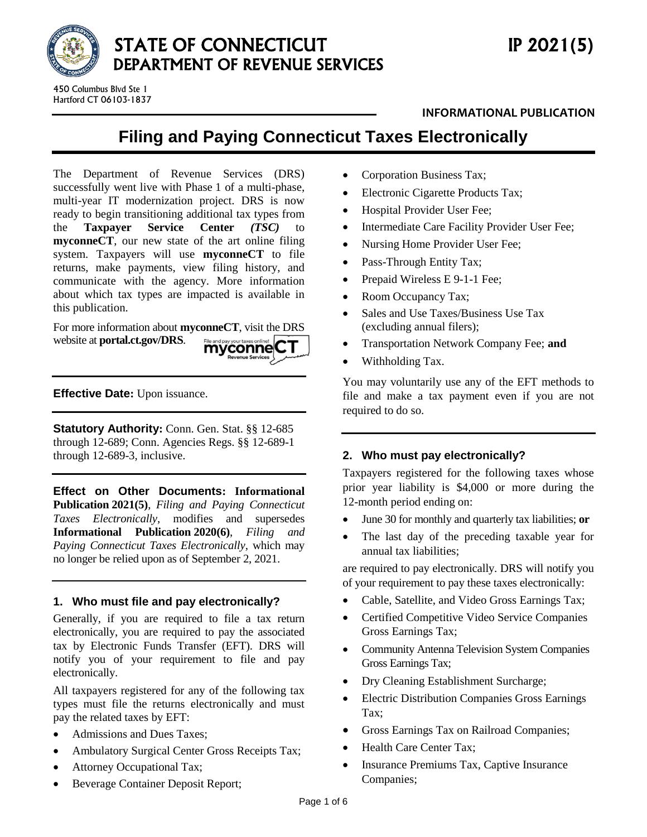

450 Columbus Blvd Ste 1 Hartford CT 06103-1837

# **INFORMATIONAL PUBLICATION**

# **Filing and Paying Connecticut Taxes Electronically**

The Department of Revenue Services (DRS) successfully went live with Phase 1 of a multi-phase, multi-year IT modernization project. DRS is now ready to begin transitioning additional tax types from the **Taxpayer Service Center** *(TSC)* to **myconneCT**, our new state of the art online filing system. Taxpayers will use **myconneCT** to file returns, make payments, view filing history, and communicate with the agency. More information about which tax types are impacted is available in this publication.

For more information about **myconneCT**, visit the DRS website at **[portal.ct.gov/DRS](https://portal.ct.gov/DRS)**.



**Effective Date: Upon issuance.** 

**Statutory Authority:** Conn. Gen. Stat. §§ 12-685 through 12-689; Conn. Agencies Regs. §§ 12-689-1 through 12-689-3, inclusive.

**Effect on Other Documents: Informational Publication 2021(5)**, *Filing and Paying Connecticut Taxes Electronically*, modifies and supersedes **Informational Publication 2020(6)**, *Filing and Paying Connecticut Taxes Electronically*, which may no longer be relied upon as of September 2, 2021.

# **1. Who must file and pay electronically?**

Generally, if you are required to file a tax return electronically, you are required to pay the associated tax by Electronic Funds Transfer (EFT). DRS will notify you of your requirement to file and pay electronically.

All taxpayers registered for any of the following tax types must file the returns electronically and must pay the related taxes by EFT:

- Admissions and Dues Taxes;
- Ambulatory Surgical Center Gross Receipts Tax;
- Attorney Occupational Tax;
- Beverage Container Deposit Report;
- Corporation Business Tax;
- Electronic Cigarette Products Tax;
- Hospital Provider User Fee;
- Intermediate Care Facility Provider User Fee;
- Nursing Home Provider User Fee;
- Pass-Through Entity Tax;
- Prepaid Wireless E 9-1-1 Fee;
- Room Occupancy Tax;
- Sales and Use Taxes/Business Use Tax (excluding annual filers);
- Transportation Network Company Fee; **and**
- Withholding Tax.

You may voluntarily use any of the EFT methods to file and make a tax payment even if you are not required to do so.

# **2. Who must pay electronically?**

Taxpayers registered for the following taxes whose prior year liability is \$4,000 or more during the 12-month period ending on:

- June 30 for monthly and quarterly tax liabilities; **or**
- The last day of the preceding taxable year for annual tax liabilities;

are required to pay electronically. DRS will notify you of your requirement to pay these taxes electronically:

- Cable, Satellite, and Video Gross Earnings Tax;
- Certified Competitive Video Service Companies Gross Earnings Tax;
- Community Antenna Television System Companies Gross Earnings Tax;
- Dry Cleaning Establishment Surcharge;
- Electric Distribution Companies Gross Earnings Tax;
- Gross Earnings Tax on Railroad Companies;
- Health Care Center Tax;
- Insurance Premiums Tax, Captive Insurance Companies;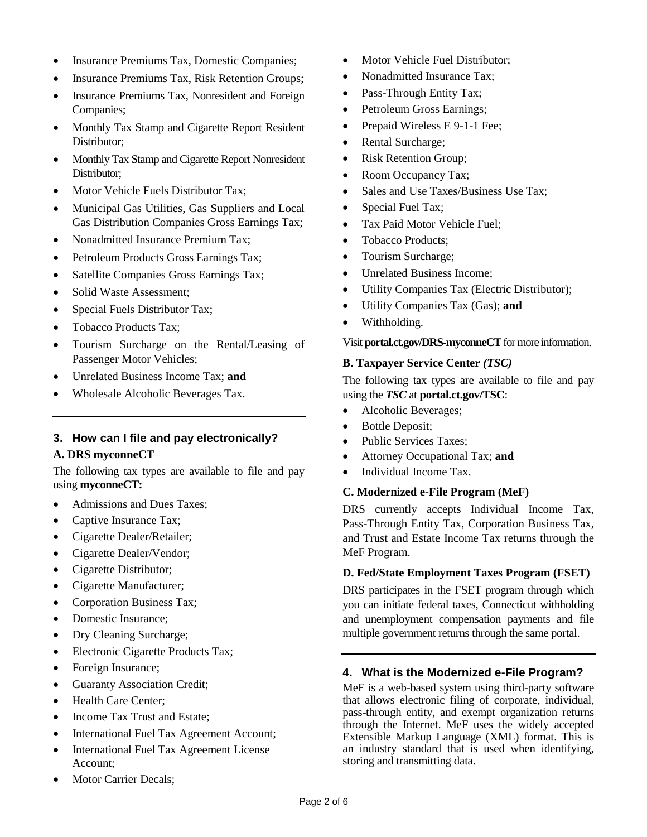- Insurance Premiums Tax, Domestic Companies;
- Insurance Premiums Tax, Risk Retention Groups;
- Insurance Premiums Tax, Nonresident and Foreign Companies;
- Monthly Tax Stamp and Cigarette Report Resident Distributor;
- Monthly Tax Stamp and Cigarette Report Nonresident Distributor;
- Motor Vehicle Fuels Distributor Tax;
- Municipal Gas Utilities, Gas Suppliers and Local Gas Distribution Companies Gross Earnings Tax;
- Nonadmitted Insurance Premium Tax;
- Petroleum Products Gross Earnings Tax;
- Satellite Companies Gross Earnings Tax;
- Solid Waste Assessment;
- Special Fuels Distributor Tax;
- Tobacco Products Tax;
- Tourism Surcharge on the Rental/Leasing of Passenger Motor Vehicles;
- Unrelated Business Income Tax; **and**
- Wholesale Alcoholic Beverages Tax.

# **3. How can I file and pay electronically?**

## **A. DRS myconneCT**

The following tax types are available to file and pay using **myconneCT:**

- Admissions and Dues Taxes;
- Captive Insurance Tax;
- Cigarette Dealer/Retailer;
- Cigarette Dealer/Vendor;
- Cigarette Distributor;
- Cigarette Manufacturer;
- Corporation Business Tax;
- Domestic Insurance;
- Dry Cleaning Surcharge;
- Electronic Cigarette Products Tax;
- Foreign Insurance;
- Guaranty Association Credit;
- Health Care Center:
- Income Tax Trust and Estate;
- International Fuel Tax Agreement Account;
- International Fuel Tax Agreement License Account;
- Motor Carrier Decals;
- Motor Vehicle Fuel Distributor;
- Nonadmitted Insurance Tax;
- Pass-Through Entity Tax;
- Petroleum Gross Earnings;
- Prepaid Wireless E 9-1-1 Fee;
- Rental Surcharge;
- Risk Retention Group;
- Room Occupancy Tax;
- Sales and Use Taxes/Business Use Tax;
- Special Fuel Tax;
- Tax Paid Motor Vehicle Fuel;
- Tobacco Products;
- Tourism Surcharge;
- Unrelated Business Income;
- Utility Companies Tax (Electric Distributor);
- Utility Companies Tax (Gas); **and**
- Withholding.

## Visit **[portal.ct.gov/DRS-myconneCT](https://portal.ct.gov/DRS-myconneCT)** for more information.

## **B. Taxpayer Service Center** *(TSC)*

The following tax types are available to file and pay using the *TSC* at **[portal.ct.gov/TSC](https://portal.ct.gov/TSC)**:

- Alcoholic Beverages;
- Bottle Deposit;
- Public Services Taxes;
- Attorney Occupational Tax; **and**
- Individual Income Tax.

## **C. Modernized e-File Program (MeF)**

DRS currently accepts Individual Income Tax, Pass-Through Entity Tax, Corporation Business Tax, and Trust and Estate Income Tax returns through the MeF Program.

## **D. Fed/State Employment Taxes Program (FSET)**

DRS participates in the FSET program through which you can initiate federal taxes, Connecticut withholding and unemployment compensation payments and file multiple government returns through the same portal.

# **4. What is the Modernized e-File Program?**

MeF is a web-based system using third-party software that allows electronic filing of corporate, individual, pass-through entity, and exempt organization returns through the Internet. MeF uses the widely accepted Extensible Markup Language (XML) format. This is an industry standard that is used when identifying, storing and transmitting data.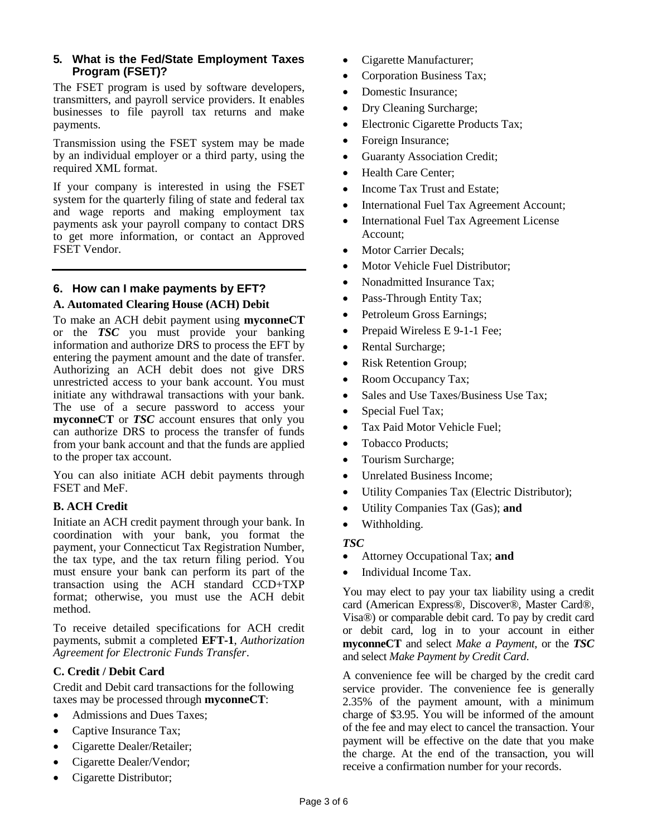## **5. What is the Fed/State Employment Taxes Program (FSET)?**

The FSET program is used by software developers, transmitters, and payroll service providers. It enables businesses to file payroll tax returns and make payments.

Transmission using the FSET system may be made by an individual employer or a third party, using the required XML format.

If your company is interested in using the FSET system for the quarterly filing of state and federal tax and wage reports and making employment tax payments ask your payroll company to contact DRS to get more information, or contact an Approved FSET Vendor.

# **6. How can I make payments by EFT?**

## **A. Automated Clearing House (ACH) Debit**

To make an ACH debit payment using **myconneCT**  or the *TSC* you must provide your banking information and authorize DRS to process the EFT by entering the payment amount and the date of transfer. Authorizing an ACH debit does not give DRS unrestricted access to your bank account. You must initiate any withdrawal transactions with your bank. The use of a secure password to access your **myconneCT** or *TSC* account ensures that only you can authorize DRS to process the transfer of funds from your bank account and that the funds are applied to the proper tax account.

You can also initiate ACH debit payments through FSET and MeF.

## **B. ACH Credit**

Initiate an ACH credit payment through your bank. In coordination with your bank, you format the payment, your Connecticut Tax Registration Number, the tax type, and the tax return filing period. You must ensure your bank can perform its part of the transaction using the ACH standard CCD+TXP format; otherwise, you must use the ACH debit method.

To receive detailed specifications for ACH credit payments, submit a completed **EFT-1**, *Authorization Agreement for Electronic Funds Transfer*.

## **C. Credit / Debit Card**

Credit and Debit card transactions for the following taxes may be processed through **myconneCT**:

- Admissions and Dues Taxes;
- Captive Insurance Tax;
- Cigarette Dealer/Retailer;
- Cigarette Dealer/Vendor;
- Cigarette Distributor;
- Cigarette Manufacturer;
- Corporation Business Tax;
- Domestic Insurance;
- Dry Cleaning Surcharge;
- Electronic Cigarette Products Tax;
- Foreign Insurance;
- Guaranty Association Credit;
- Health Care Center;
- Income Tax Trust and Estate:
- International Fuel Tax Agreement Account;
- International Fuel Tax Agreement License Account;
- Motor Carrier Decals;
- Motor Vehicle Fuel Distributor;
- Nonadmitted Insurance Tax:
- Pass-Through Entity Tax;
- Petroleum Gross Earnings;
- Prepaid Wireless E 9-1-1 Fee;
- Rental Surcharge;
- Risk Retention Group;
- Room Occupancy Tax;
- Sales and Use Taxes/Business Use Tax;
- Special Fuel Tax;
- Tax Paid Motor Vehicle Fuel;
- Tobacco Products:
- Tourism Surcharge;
- Unrelated Business Income;
- Utility Companies Tax (Electric Distributor);
- Utility Companies Tax (Gas); **and**
- Withholding.

#### *TSC*

- Attorney Occupational Tax; **and**
- Individual Income Tax.

You may elect to pay your tax liability using a credit card (American Express®, Discover®, Master Card®, Visa®) or comparable debit card. To pay by credit card or debit card, log in to your account in either **myconneCT** and select *Make a Payment*, or the *TSC*  and select *Make Payment by Credit Card*.

A convenience fee will be charged by the credit card service provider. The convenience fee is generally 2.35% of the payment amount, with a minimum charge of \$3.95. You will be informed of the amount of the fee and may elect to cancel the transaction. Your payment will be effective on the date that you make the charge. At the end of the transaction, you will receive a confirmation number for your records.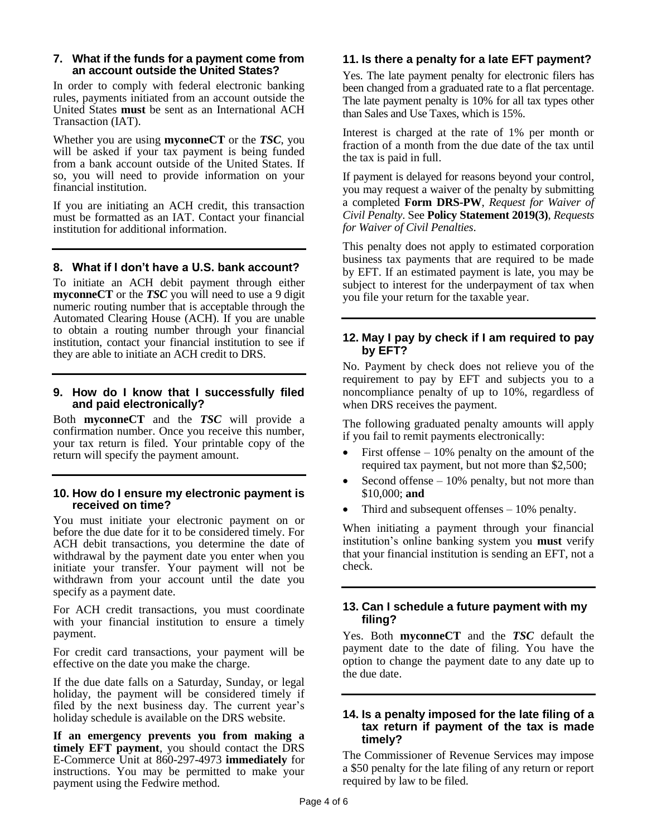#### **7. What if the funds for a payment come from an account outside the United States?**

In order to comply with federal electronic banking rules, payments initiated from an account outside the United States **must** be sent as an International ACH Transaction (IAT).

Whether you are using **myconneCT** or the *TSC*, you will be asked if your tax payment is being funded from a bank account outside of the United States. If so, you will need to provide information on your financial institution.

If you are initiating an ACH credit, this transaction must be formatted as an IAT. Contact your financial institution for additional information.

# **8. What if I don't have a U.S. bank account?**

To initiate an ACH debit payment through either **myconneCT** or the *TSC* you will need to use a 9 digit numeric routing number that is acceptable through the Automated Clearing House (ACH). If you are unable to obtain a routing number through your financial institution, contact your financial institution to see if they are able to initiate an ACH credit to DRS.

#### **9. How do I know that I successfully filed and paid electronically?**

Both **myconneCT** and the *TSC* will provide a confirmation number. Once you receive this number, your tax return is filed. Your printable copy of the return will specify the payment amount.

#### **10. How do I ensure my electronic payment is received on time?**

You must initiate your electronic payment on or before the due date for it to be considered timely. For ACH debit transactions, you determine the date of withdrawal by the payment date you enter when you initiate your transfer. Your payment will not be withdrawn from your account until the date you specify as a payment date.

For ACH credit transactions, you must coordinate with your financial institution to ensure a timely payment.

For credit card transactions, your payment will be effective on the date you make the charge.

If the due date falls on a Saturday, Sunday, or legal holiday, the payment will be considered timely if filed by the next business day. The current year's holiday schedule is available on the DRS website.

**If an emergency prevents you from making a timely EFT payment**, you should contact the DRS E-Commerce Unit at 860-297-4973 **immediately** for instructions. You may be permitted to make your payment using the Fedwire method.

# **11. Is there a penalty for a late EFT payment?**

Yes. The late payment penalty for electronic filers has been changed from a graduated rate to a flat percentage. The late payment penalty is 10% for all tax types other than Sales and Use Taxes, which is 15%.

Interest is charged at the rate of 1% per month or fraction of a month from the due date of the tax until the tax is paid in full.

If payment is delayed for reasons beyond your control, you may request a waiver of the penalty by submitting a completed **Form DRS-PW**, *Request for Waiver of Civil Penalty*. See **Policy Statement 2019(3)**, *Requests for Waiver of Civil Penalties*.

This penalty does not apply to estimated corporation business tax payments that are required to be made by EFT. If an estimated payment is late, you may be subject to interest for the underpayment of tax when you file your return for the taxable year.

## **12. May I pay by check if I am required to pay by EFT?**

No. Payment by check does not relieve you of the requirement to pay by EFT and subjects you to a noncompliance penalty of up to 10%, regardless of when DRS receives the payment.

The following graduated penalty amounts will apply if you fail to remit payments electronically:

- First offense  $-10\%$  penalty on the amount of the required tax payment, but not more than \$2,500;
- Second offense  $-10\%$  penalty, but not more than \$10,000; **and**
- Third and subsequent offenses 10% penalty.

When initiating a payment through your financial institution's online banking system you **must** verify that your financial institution is sending an EFT, not a check.

## **13. Can I schedule a future payment with my filing?**

Yes. Both **myconneCT** and the *TSC* default the payment date to the date of filing. You have the option to change the payment date to any date up to the due date.

#### **14. Is a penalty imposed for the late filing of a tax return if payment of the tax is made timely?**

The Commissioner of Revenue Services may impose a \$50 penalty for the late filing of any return or report required by law to be filed.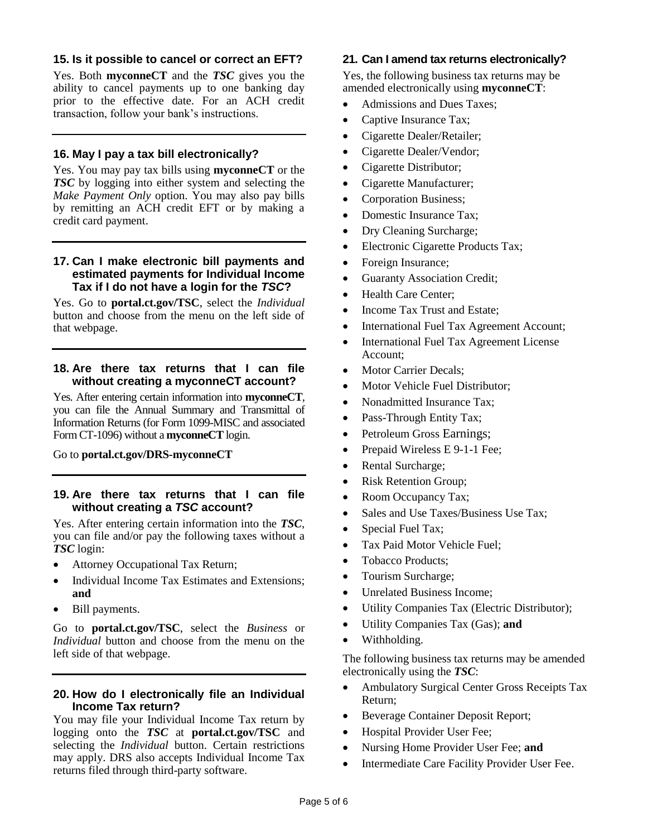# **15. Is it possible to cancel or correct an EFT?**

Yes. Both **myconneCT** and the *TSC* gives you the ability to cancel payments up to one banking day prior to the effective date. For an ACH credit transaction, follow your bank's instructions.

# **16. May I pay a tax bill electronically?**

Yes. You may pay tax bills using **myconneCT** or the *TSC* by logging into either system and selecting the *Make Payment Only* option. You may also pay bills by remitting an ACH credit EFT or by making a credit card payment.

#### **17. Can I make electronic bill payments and estimated payments for Individual Income Tax if I do not have a login for the** *TSC***?**

Yes. Go to **[portal.ct.gov/TSC](https://portal.ct.gov/TSC)**, select the *Individual*  button and choose from the menu on the left side of that webpage.

#### **18. Are there tax returns that I can file without creating a myconneCT account?**

Yes. After entering certain information into **myconneCT**, you can file the Annual Summary and Transmittal of Information Returns (for Form 1099-MISC and associated Form CT-1096) without a **myconneCT** login.

Go to **[portal.ct.gov/DRS-myconneCT](https://portal.ct.gov/DRS-myconneCT)**

## **19. Are there tax returns that I can file without creating a** *TSC* **account?**

Yes. After entering certain information into the *TSC*, you can file and/or pay the following taxes without a *TSC* login:

- Attorney Occupational Tax Return;
- Individual Income Tax Estimates and Extensions; **and**
- Bill payments.

Go to **[portal.ct.gov/TSC](https://portal.ct.gov/TSC)**, select the *Business* or *Individual* button and choose from the menu on the left side of that webpage.

#### **20. How do I electronically file an Individual Income Tax return?**

You may file your Individual Income Tax return by logging onto the *TSC* at **[portal.ct.gov/TSC](https://portal.ct.gov/TSC)** and selecting the *Individual* button. Certain restrictions may apply. DRS also accepts Individual Income Tax returns filed through third-party software.

# **21. Can I amend tax returns electronically?**

Yes, the following business tax returns may be amended electronically using **myconneCT**:

- Admissions and Dues Taxes;
- Captive Insurance Tax:
- Cigarette Dealer/Retailer;
- Cigarette Dealer/Vendor;
- Cigarette Distributor;
- Cigarette Manufacturer;
- Corporation Business;
- Domestic Insurance Tax;
- Dry Cleaning Surcharge;
- Electronic Cigarette Products Tax;
- Foreign Insurance;
- Guaranty Association Credit;
- Health Care Center:
- Income Tax Trust and Estate;
- International Fuel Tax Agreement Account;
- International Fuel Tax Agreement License Account;
- Motor Carrier Decals:
- Motor Vehicle Fuel Distributor;
- Nonadmitted Insurance Tax;
- Pass-Through Entity Tax;
- Petroleum Gross Earnings;
- Prepaid Wireless E 9-1-1 Fee;
- Rental Surcharge;
- Risk Retention Group;
- Room Occupancy Tax;
- Sales and Use Taxes/Business Use Tax;
- Special Fuel Tax;
- Tax Paid Motor Vehicle Fuel;
- Tobacco Products;
- Tourism Surcharge;
- Unrelated Business Income;
- Utility Companies Tax (Electric Distributor);
- Utility Companies Tax (Gas); **and**
- Withholding.

The following business tax returns may be amended electronically using the *TSC*:

- Ambulatory Surgical Center Gross Receipts Tax Return;
- Beverage Container Deposit Report;
- Hospital Provider User Fee;
- Nursing Home Provider User Fee; **and**
- Intermediate Care Facility Provider User Fee.